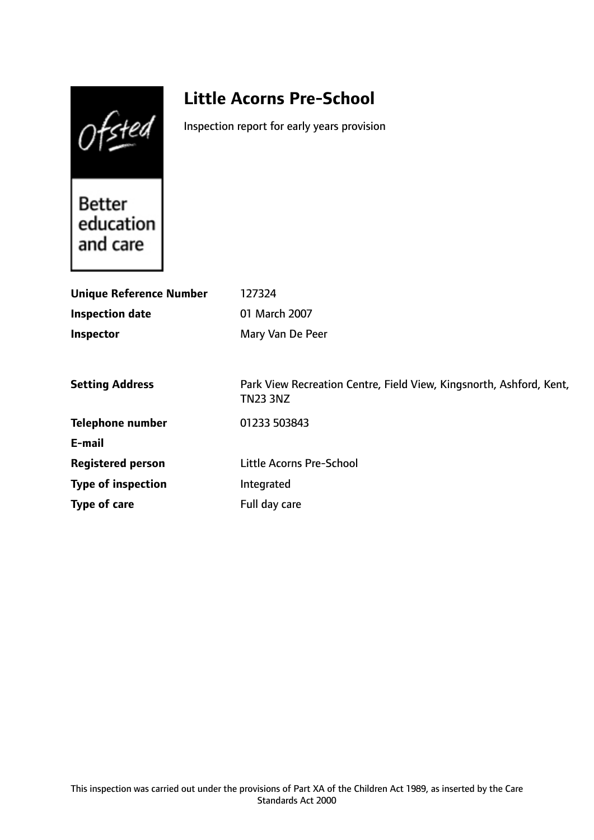Ofsted

# **Little Acorns Pre-School**

Inspection report for early years provision

Better<br>education and care

| <b>Unique Reference Number</b> | 127324                                                                                 |
|--------------------------------|----------------------------------------------------------------------------------------|
| <b>Inspection date</b>         | 01 March 2007                                                                          |
| Inspector                      | Mary Van De Peer                                                                       |
|                                |                                                                                        |
| <b>Setting Address</b>         | Park View Recreation Centre, Field View, Kingsnorth, Ashford, Kent,<br><b>TN23 3NZ</b> |
| <b>Telephone number</b>        | 01233 503843                                                                           |
| E-mail                         |                                                                                        |
| <b>Registered person</b>       | Little Acorns Pre-School                                                               |
| <b>Type of inspection</b>      | Integrated                                                                             |
| Type of care                   | Full day care                                                                          |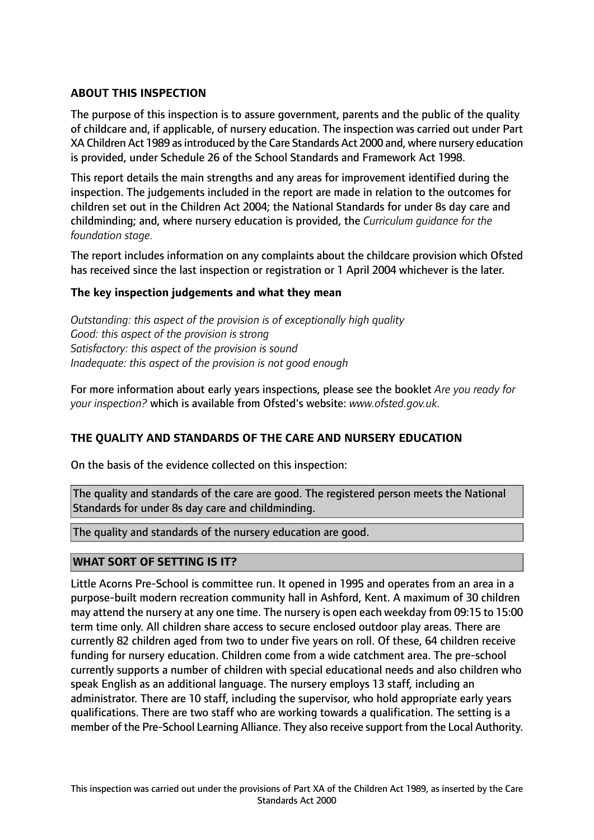## **ABOUT THIS INSPECTION**

The purpose of this inspection is to assure government, parents and the public of the quality of childcare and, if applicable, of nursery education. The inspection was carried out under Part XA Children Act 1989 asintroduced by the Care Standards Act 2000 and, where nursery education is provided, under Schedule 26 of the School Standards and Framework Act 1998.

This report details the main strengths and any areas for improvement identified during the inspection. The judgements included in the report are made in relation to the outcomes for children set out in the Children Act 2004; the National Standards for under 8s day care and childminding; and, where nursery education is provided, the *Curriculum guidance for the foundation stage.*

The report includes information on any complaints about the childcare provision which Ofsted has received since the last inspection or registration or 1 April 2004 whichever is the later.

#### **The key inspection judgements and what they mean**

*Outstanding: this aspect of the provision is of exceptionally high quality Good: this aspect of the provision is strong Satisfactory: this aspect of the provision is sound Inadequate: this aspect of the provision is not good enough*

For more information about early years inspections, please see the booklet *Are you ready for your inspection?* which is available from Ofsted's website: *www.ofsted.gov.uk.*

#### **THE QUALITY AND STANDARDS OF THE CARE AND NURSERY EDUCATION**

On the basis of the evidence collected on this inspection:

The quality and standards of the care are good. The registered person meets the National Standards for under 8s day care and childminding.

The quality and standards of the nursery education are good.

#### **WHAT SORT OF SETTING IS IT?**

Little Acorns Pre-School is committee run. It opened in 1995 and operates from an area in a purpose-built modern recreation community hall in Ashford, Kent. A maximum of 30 children may attend the nursery at any one time. The nursery is open each weekday from 09:15 to 15:00 term time only. All children share access to secure enclosed outdoor play areas. There are currently 82 children aged from two to under five years on roll. Of these, 64 children receive funding for nursery education. Children come from a wide catchment area. The pre-school currently supports a number of children with special educational needs and also children who speak English as an additional language. The nursery employs 13 staff, including an administrator. There are 10 staff, including the supervisor, who hold appropriate early years qualifications. There are two staff who are working towards a qualification. The setting is a member of the Pre-School Learning Alliance. They also receive support from the Local Authority.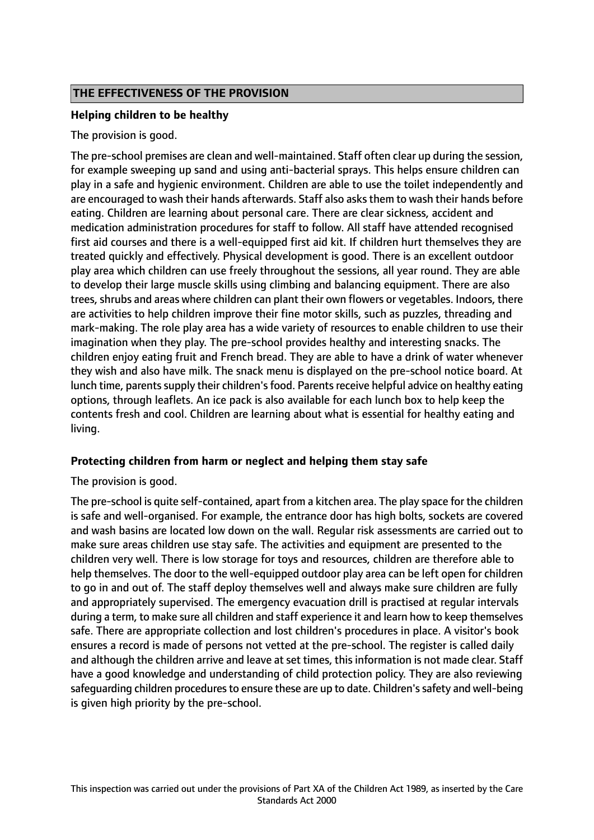### **THE EFFECTIVENESS OF THE PROVISION**

#### **Helping children to be healthy**

#### The provision is good.

The pre-school premises are clean and well-maintained. Staff often clear up during the session, for example sweeping up sand and using anti-bacterial sprays. This helps ensure children can play in a safe and hygienic environment. Children are able to use the toilet independently and are encouraged to wash their hands afterwards. Staff also asks them to wash their hands before eating. Children are learning about personal care. There are clear sickness, accident and medication administration procedures for staff to follow. All staff have attended recognised first aid courses and there is a well-equipped first aid kit. If children hurt themselves they are treated quickly and effectively. Physical development is good. There is an excellent outdoor play area which children can use freely throughout the sessions, all year round. They are able to develop their large muscle skills using climbing and balancing equipment. There are also trees, shrubs and areas where children can plant their own flowers or vegetables. Indoors, there are activities to help children improve their fine motor skills, such as puzzles, threading and mark-making. The role play area has a wide variety of resources to enable children to use their imagination when they play. The pre-school provides healthy and interesting snacks. The children enjoy eating fruit and French bread. They are able to have a drink of water whenever they wish and also have milk. The snack menu is displayed on the pre-school notice board. At lunch time, parents supply their children's food. Parents receive helpful advice on healthy eating options, through leaflets. An ice pack is also available for each lunch box to help keep the contents fresh and cool. Children are learning about what is essential for healthy eating and living.

#### **Protecting children from harm or neglect and helping them stay safe**

The provision is good.

The pre-school is quite self-contained, apart from a kitchen area. The play space for the children is safe and well-organised. For example, the entrance door has high bolts, sockets are covered and wash basins are located low down on the wall. Regular risk assessments are carried out to make sure areas children use stay safe. The activities and equipment are presented to the children very well. There is low storage for toys and resources, children are therefore able to help themselves. The door to the well-equipped outdoor play area can be left open for children to go in and out of. The staff deploy themselves well and always make sure children are fully and appropriately supervised. The emergency evacuation drill is practised at regular intervals during a term, to make sure all children and staff experience it and learn how to keep themselves safe. There are appropriate collection and lost children's procedures in place. A visitor's book ensures a record is made of persons not vetted at the pre-school. The register is called daily and although the children arrive and leave at set times, this information is not made clear. Staff have a good knowledge and understanding of child protection policy. They are also reviewing safeguarding children procedures to ensure these are up to date. Children's safety and well-being is given high priority by the pre-school.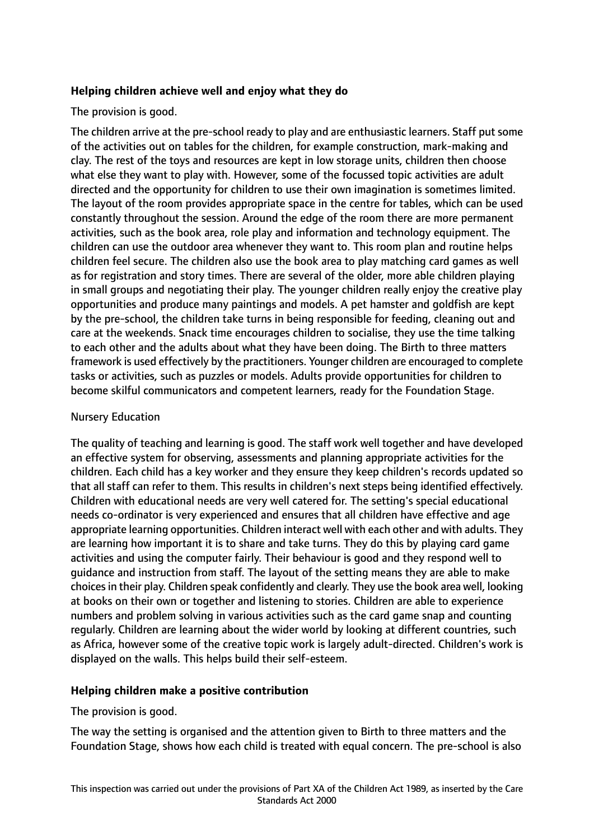#### **Helping children achieve well and enjoy what they do**

### The provision is good.

The children arrive at the pre-school ready to play and are enthusiastic learners. Staff put some of the activities out on tables for the children, for example construction, mark-making and clay. The rest of the toys and resources are kept in low storage units, children then choose what else they want to play with. However, some of the focussed topic activities are adult directed and the opportunity for children to use their own imagination is sometimes limited. The layout of the room provides appropriate space in the centre for tables, which can be used constantly throughout the session. Around the edge of the room there are more permanent activities, such as the book area, role play and information and technology equipment. The children can use the outdoor area whenever they want to. This room plan and routine helps children feel secure. The children also use the book area to play matching card games as well as for registration and story times. There are several of the older, more able children playing in small groups and negotiating their play. The younger children really enjoy the creative play opportunities and produce many paintings and models. A pet hamster and goldfish are kept by the pre-school, the children take turns in being responsible for feeding, cleaning out and care at the weekends. Snack time encourages children to socialise, they use the time talking to each other and the adults about what they have been doing. The Birth to three matters framework is used effectively by the practitioners. Younger children are encouraged to complete tasks or activities, such as puzzles or models. Adults provide opportunities for children to become skilful communicators and competent learners, ready for the Foundation Stage.

### Nursery Education

The quality of teaching and learning is good. The staff work well together and have developed an effective system for observing, assessments and planning appropriate activities for the children. Each child has a key worker and they ensure they keep children's records updated so that all staff can refer to them. This results in children's next steps being identified effectively. Children with educational needs are very well catered for. The setting's special educational needs co-ordinator is very experienced and ensures that all children have effective and age appropriate learning opportunities. Children interact well with each other and with adults. They are learning how important it is to share and take turns. They do this by playing card game activities and using the computer fairly. Their behaviour is good and they respond well to guidance and instruction from staff. The layout of the setting means they are able to make choicesin their play. Children speak confidently and clearly. They use the book area well, looking at books on their own or together and listening to stories. Children are able to experience numbers and problem solving in various activities such as the card game snap and counting regularly. Children are learning about the wider world by looking at different countries, such as Africa, however some of the creative topic work is largely adult-directed. Children's work is displayed on the walls. This helps build their self-esteem.

#### **Helping children make a positive contribution**

The provision is good.

The way the setting is organised and the attention given to Birth to three matters and the Foundation Stage, shows how each child is treated with equal concern. The pre-school is also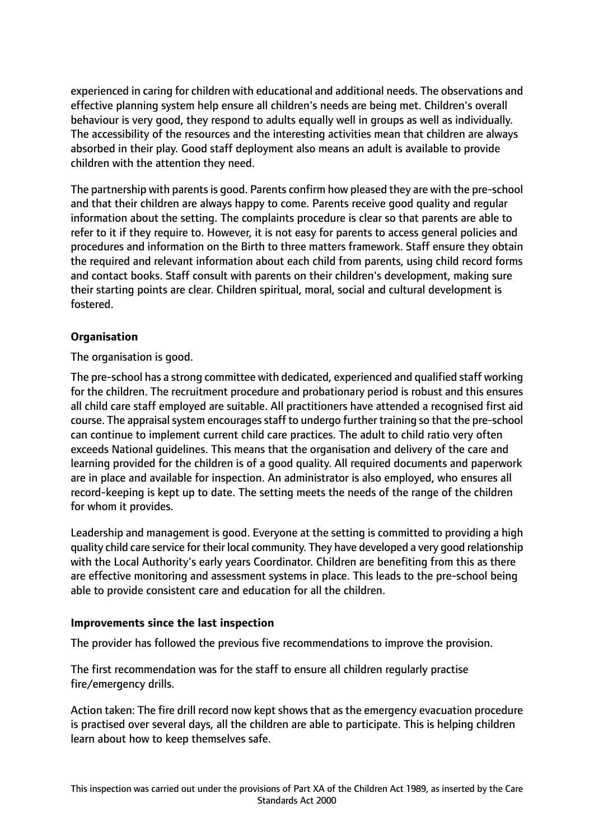experienced in caring for children with educational and additional needs. The observations and effective planning system help ensure all children's needs are being met. Children's overall behaviour is very good, they respond to adults equally well in groups as well as individually. The accessibility of the resources and the interesting activities mean that children are always absorbed in their play. Good staff deployment also means an adult is available to provide children with the attention they need.

The partnership with parents is good. Parents confirm how pleased they are with the pre-school and that their children are always happy to come. Parents receive good quality and regular information about the setting. The complaints procedure is clear so that parents are able to refer to it if they require to. However, it is not easy for parents to access general policies and procedures and information on the Birth to three matters framework. Staff ensure they obtain the required and relevant information about each child from parents, using child record forms and contact books. Staff consult with parents on their children's development, making sure their starting points are clear. Children spiritual, moral, social and cultural development is fostered.

## **Organisation**

The organisation is good.

The pre-school has a strong committee with dedicated, experienced and qualified staff working for the children. The recruitment procedure and probationary period is robust and this ensures all child care staff employed are suitable. All practitioners have attended a recognised first aid course. The appraisal system encourages staff to undergo further training so that the pre-school can continue to implement current child care practices. The adult to child ratio very often exceeds National guidelines. This means that the organisation and delivery of the care and learning provided for the children is of a good quality. All required documents and paperwork are in place and available for inspection. An administrator is also employed, who ensures all record-keeping is kept up to date. The setting meets the needs of the range of the children for whom it provides.

Leadership and management is good. Everyone at the setting is committed to providing a high quality child care service for their local community. They have developed a very good relationship with the Local Authority's early years Coordinator. Children are benefiting from this as there are effective monitoring and assessment systems in place. This leads to the pre-school being able to provide consistent care and education for all the children.

#### **Improvements since the last inspection**

The provider has followed the previous five recommendations to improve the provision.

The first recommendation was for the staff to ensure all children regularly practise fire/emergency drills.

Action taken: The fire drill record now kept shows that as the emergency evacuation procedure is practised over several days, all the children are able to participate. This is helping children learn about how to keep themselves safe.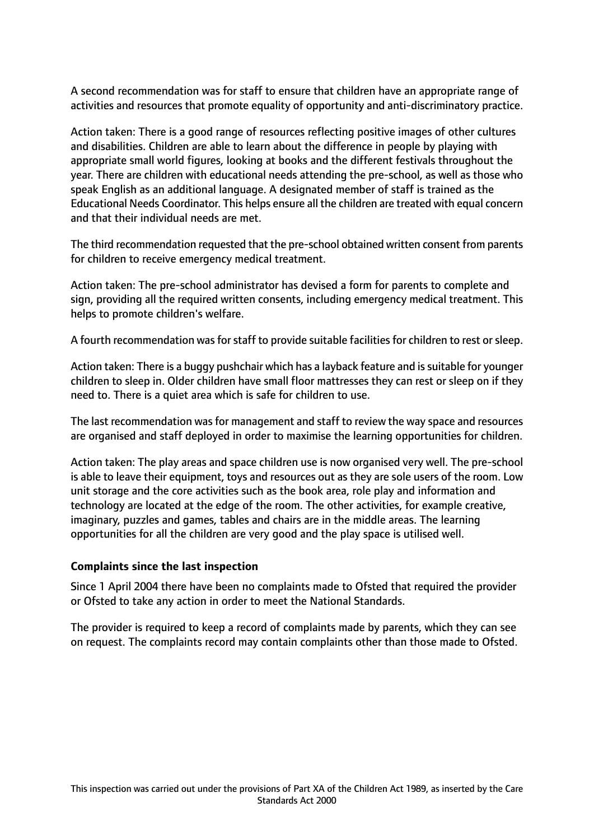A second recommendation was for staff to ensure that children have an appropriate range of activities and resources that promote equality of opportunity and anti-discriminatory practice.

Action taken: There is a good range of resources reflecting positive images of other cultures and disabilities. Children are able to learn about the difference in people by playing with appropriate small world figures, looking at books and the different festivals throughout the year. There are children with educational needs attending the pre-school, as well as those who speak English as an additional language. A designated member of staff is trained as the Educational Needs Coordinator. This helps ensure all the children are treated with equal concern and that their individual needs are met.

The third recommendation requested that the pre-school obtained written consent from parents for children to receive emergency medical treatment.

Action taken: The pre-school administrator has devised a form for parents to complete and sign, providing all the required written consents, including emergency medical treatment. This helps to promote children's welfare.

A fourth recommendation was for staff to provide suitable facilities for children to rest or sleep.

Action taken: There is a buggy pushchair which has a layback feature and issuitable for younger children to sleep in. Older children have small floor mattresses they can rest or sleep on if they need to. There is a quiet area which is safe for children to use.

The last recommendation was for management and staff to review the way space and resources are organised and staff deployed in order to maximise the learning opportunities for children.

Action taken: The play areas and space children use is now organised very well. The pre-school is able to leave their equipment, toys and resources out as they are sole users of the room. Low unit storage and the core activities such as the book area, role play and information and technology are located at the edge of the room. The other activities, for example creative, imaginary, puzzles and games, tables and chairs are in the middle areas. The learning opportunities for all the children are very good and the play space is utilised well.

#### **Complaints since the last inspection**

Since 1 April 2004 there have been no complaints made to Ofsted that required the provider or Ofsted to take any action in order to meet the National Standards.

The provider is required to keep a record of complaints made by parents, which they can see on request. The complaints record may contain complaints other than those made to Ofsted.